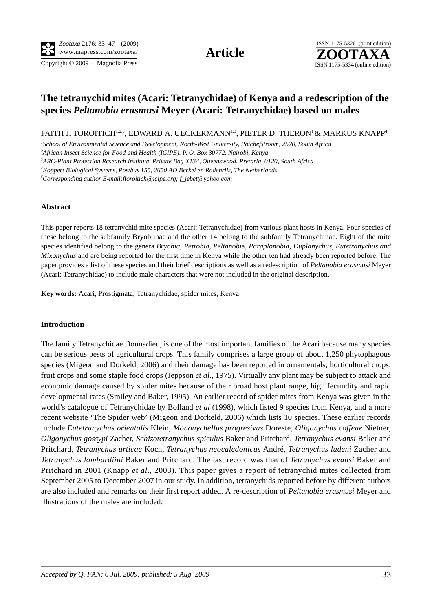Copyright © 2009 · Magnolia Press ISSN 1175-5334 (online edition)



# **The tetranychid mites (Acari: Tetranychidae) of Kenya and a redescription of the species** *Peltanobia erasmusi* **Meyer (Acari: Tetranychidae) based on males**

FAITH J. TOROITICH<sup>1,2,5</sup>, EDWARD A. UECKERMANN<sup>1,3</sup>, PIETER D. THERON<sup>1</sup> & MARKUS KNAPP<sup>4</sup>

*1 School of Environmental Science and Development, North-West University, Potchefstroom, 2520, South Africa 2 African Insect Science for Food and Health (ICIPE). P. O. Box 30772, Nairobi, Kenya 3 ARC-Plant Protection Research Institute, Private Bag X134, Queenswood, Pretoria, 0120, South Africa*

*4 Koppert Biological Systems, Postbus 155, 2650 AD Berkel en Rodenrijs, The Netherlands*

*5 Corresponding author E-mail:ftoroitich@icipe.org; f\_jebet@yahoo.com*

#### **Abstract**

This paper reports 18 tetranychid mite species (Acari: Tetranychidae) from various plant hosts in Kenya. Four species of these belong to the subfamily Bryobiinae and the other 14 belong to the subfamily Tetranychinae. Eight of the mite species identified belong to the genera *Bryobia*, *Petrobia*, *Peltanobi*a, *Paraplonobia*, *Duplanychus*, *Eutetranychus and Mixonychus* and are being reported for the first time in Kenya while the other ten had already been reported before. The paper provides a list of these species and their brief descriptions as well as a redescription of *Peltanobia erasmusi* Meyer (Acari: Tetranychidae) to include male characters that were not included in the original description.

**Key words:** Acari, Prostigmata, Tetranychidae, spider mites, Kenya

#### **Introduction**

The family Tetranychidae Donnadieu, is one of the most important families of the Acari because many species can be serious pests of agricultural crops. This family comprises a large group of about 1,250 phytophagous species (Migeon and Dorkeld, 2006) and their damage has been reported in ornamentals, horticultural crops, fruit crops and some staple food crops (Jeppson *et al.,* 1975). Virtually any plant may be subject to attack and economic damage caused by spider mites because of their broad host plant range, high fecundity and rapid developmental rates (Smiley and Baker, 1995). An earlier record of spider mites from Kenya was given in the world's catalogue of Tetranychidae by Bolland *et al* (1998), which listed 9 species from Kenya, and a more recent website 'The Spider web' (Migeon and Dorkeld, 2006) which lists 10 species. These earlier records include *Eutetranychus orientalis* Klein, *Mononychellus progresivus* Doreste, *Oligonychus coffeae* Nietner, *Oligonychus gossypi* Zacher, *Schizotetranychus spiculus* Baker and Pritchard, *Tetranychus evansi* Baker and Pritchard, *Tetranychus urticae* Koch, *Tetranychus neocaledonicus* André, *Tetranychus ludeni* Zacher and *Tetranychus lombardiini* Baker and Pritchard. The last record was that of *Tetranychus evansi* Baker and Pritchard in 2001 (Knapp *et al.*, 2003). This paper gives a report of tetranychid mites collected from September 2005 to December 2007 in our study. In addition, tetranychids reported before by different authors are also included and remarks on their first report added. A re-description of *Peltanobia erasmusi* Meyer and illustrations of the males are included.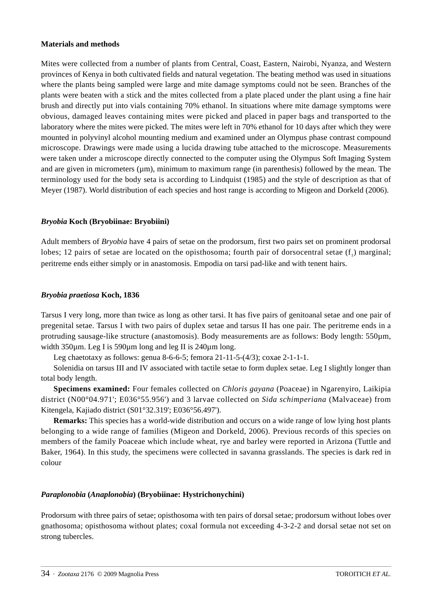## **Materials and methods**

Mites were collected from a number of plants from Central, Coast, Eastern, Nairobi, Nyanza, and Western provinces of Kenya in both cultivated fields and natural vegetation. The beating method was used in situations where the plants being sampled were large and mite damage symptoms could not be seen. Branches of the plants were beaten with a stick and the mites collected from a plate placed under the plant using a fine hair brush and directly put into vials containing 70% ethanol. In situations where mite damage symptoms were obvious, damaged leaves containing mites were picked and placed in paper bags and transported to the laboratory where the mites were picked. The mites were left in 70% ethanol for 10 days after which they were mounted in polyvinyl alcohol mounting medium and examined under an Olympus phase contrast compound microscope. Drawings were made using a lucida drawing tube attached to the microscope. Measurements were taken under a microscope directly connected to the computer using the Olympus Soft Imaging System and are given in micrometers  $(\mu m)$ , minimum to maximum range (in parenthesis) followed by the mean. The terminology used for the body seta is according to Lindquist (1985) and the style of description as that of Meyer (1987). World distribution of each species and host range is according to Migeon and Dorkeld (2006).

## *Bryobia* **Koch (Bryobiinae: Bryobiini)**

Adult members of *Bryobia* have 4 pairs of setae on the prodorsum, first two pairs set on prominent prodorsal lobes; 12 pairs of setae are located on the opisthosoma; fourth pair of dorsocentral setae  $(f<sub>i</sub>)$  marginal; peritreme ends either simply or in anastomosis. Empodia on tarsi pad-like and with tenent hairs.

# *Bryobia praetiosa* **Koch, 1836**

Tarsus I very long, more than twice as long as other tarsi. It has five pairs of genitoanal setae and one pair of pregenital setae. Tarsus I with two pairs of duplex setae and tarsus II has one pair. The peritreme ends in a protruding sausage-like structure (anastomosis). Body measurements are as follows: Body length: 550µm, width 350um. Leg I is 590um long and leg II is 240um long.

Leg chaetotaxy as follows: genua 8-6-6-5; femora 21-11-5-(4/3); coxae 2-1-1-1.

Solenidia on tarsus III and IV associated with tactile setae to form duplex setae. Leg I slightly longer than total body length.

**Specimens examined:** Four females collected on *Chloris gayana* (Poaceae) in Ngarenyiro, Laikipia district (N00°04.971'; E036°55.956') and 3 larvae collected on *Sida schimperiana* (Malvaceae) from Kitengela, Kajiado district (S01°32.319'; E036°56.497').

**Remarks:** This species has a world-wide distribution and occurs on a wide range of low lying host plants belonging to a wide range of families (Migeon and Dorkeld, 2006). Previous records of this species on members of the family Poaceae which include wheat, rye and barley were reported in Arizona (Tuttle and Baker, 1964). In this study, the specimens were collected in savanna grasslands. The species is dark red in colour

# *Paraplonobia* **(***Anaplonobia***) (Bryobiinae: Hystrichonychini)**

Prodorsum with three pairs of setae; opisthosoma with ten pairs of dorsal setae; prodorsum without lobes over gnathosoma; opisthosoma without plates; coxal formula not exceeding 4-3-2-2 and dorsal setae not set on strong tubercles.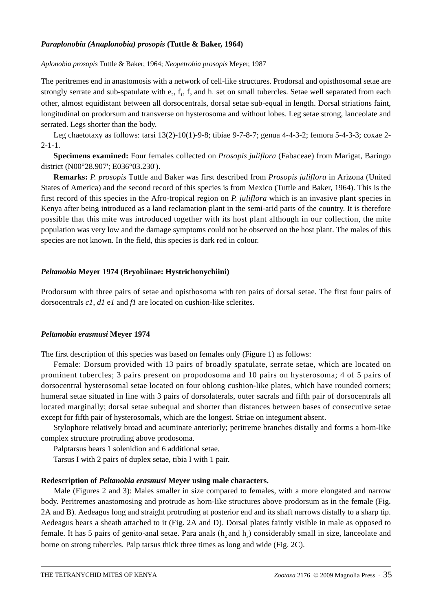## *Paraplonobia (Anaplonobia) prosopis* **(Tuttle & Baker, 1964)**

*Aplonobia prosopis* Tuttle & Baker, 1964; *Neopetrobia prosopis* Meyer, 1987

The peritremes end in anastomosis with a network of cell-like structures. Prodorsal and opisthosomal setae are strongly serrate and sub-spatulate with  $e_2$ ,  $f_1$ ,  $f_2$  and  $h_1$  set on small tubercles. Setae well separated from each other, almost equidistant between all dorsocentrals, dorsal setae sub-equal in length. Dorsal striations faint, longitudinal on prodorsum and transverse on hysterosoma and without lobes. Leg setae strong, lanceolate and serrated. Legs shorter than the body.

Leg chaetotaxy as follows: tarsi 13(2)-10(1)-9-8; tibiae 9-7-8-7; genua 4-4-3-2; femora 5-4-3-3; coxae 2-  $2 - 1 - 1$ .

**Specimens examined:** Four females collected on *Prosopis juliflora* (Fabaceae) from Marigat, Baringo district (N00°28.907'; E036°03.230').

**Remarks:** *P. prosopis* Tuttle and Baker was first described from *Prosopis juliflora* in Arizona (United States of America) and the second record of this species is from Mexico (Tuttle and Baker, 1964). This is the first record of this species in the Afro-tropical region on *P. juliflora* which is an invasive plant species in Kenya after being introduced as a land reclamation plant in the semi-arid parts of the country. It is therefore possible that this mite was introduced together with its host plant although in our collection, the mite population was very low and the damage symptoms could not be observed on the host plant. The males of this species are not known. In the field, this species is dark red in colour.

# *Peltanobia* **Meyer 1974 (Bryobiinae: Hystrichonychiini)**

Prodorsum with three pairs of setae and opisthosoma with ten pairs of dorsal setae. The first four pairs of dorsocentrals *c1*, *d1* e*1* and *f1* are located on cushion-like sclerites.

## *Peltanobia erasmusi* **Meyer 1974**

The first description of this species was based on females only (Figure 1) as follows:

Female: Dorsum provided with 13 pairs of broadly spatulate, serrate setae, which are located on prominent tubercles; 3 pairs present on propodosoma and 10 pairs on hysterosoma; 4 of 5 pairs of dorsocentral hysterosomal setae located on four oblong cushion-like plates, which have rounded corners; humeral setae situated in line with 3 pairs of dorsolaterals, outer sacrals and fifth pair of dorsocentrals all located marginally; dorsal setae subequal and shorter than distances between bases of consecutive setae except for fifth pair of hysterosomals, which are the longest. Striae on integument absent.

Stylophore relatively broad and acuminate anteriorly; peritreme branches distally and forms a horn-like complex structure protruding above prodosoma.

Palptarsus bears 1 solenidion and 6 additional setae.

Tarsus I with 2 pairs of duplex setae, tibia I with 1 pair.

## **Redescription of** *Peltanobia erasmusi* **Meyer using male characters.**

Male (Figures 2 and 3): Males smaller in size compared to females, with a more elongated and narrow body. Peritremes anastomosing and protrude as horn-like structures above prodorsum as in the female (Fig. 2A and B). Aedeagus long and straight protruding at posterior end and its shaft narrows distally to a sharp tip. Aedeagus bears a sheath attached to it (Fig. 2A and D). Dorsal plates faintly visible in male as opposed to female. It has 5 pairs of genito-anal setae. Para anals  $(h, and h)$  considerably small in size, lanceolate and borne on strong tubercles. Palp tarsus thick three times as long and wide (Fig. 2C).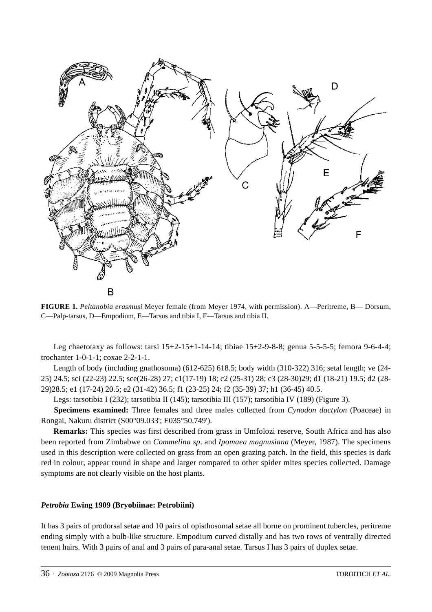

**FIGURE 1.** *Peltanobia erasmusi* Meyer female (from Meyer 1974, with permission). A—Peritreme, B— Dorsum, C—Palp-tarsus, D—Empodium, E—Tarsus and tibia I, F—Tarsus and tibia II.

Leg chaetotaxy as follows: tarsi 15+2-15+1-14-14; tibiae 15+2-9-8-8; genua 5-5-5-5; femora 9-6-4-4; trochanter 1-0-1-1; coxae 2-2-1-1.

Length of body (including gnathosoma) (612-625) 618.5; body width (310-322) 316; setal length; ve (24- 25) 24.5; sci (22-23) 22.5; sce(26-28) 27; c1(17-19) 18; c2 (25-31) 28; c3 (28-30)29; d1 (18-21) 19.5; d2 (28- 29)28.5; e1 (17-24) 20.5; e2 (31-42) 36.5; f1 (23-25) 24; f2 (35-39) 37; h1 (36-45) 40.5.

Legs: tarsotibia I (232); tarsotibia II (145); tarsotibia III (157); tarsotibia IV (189) (Figure 3).

**Specimens examined:** Three females and three males collected from *Cynodon dactylon* (Poaceae) in Rongai, Nakuru district (S00°09.033'; E035°50.749').

**Remarks:** This species was first described from grass in Umfolozi reserve, South Africa and has also been reported from Zimbabwe on *Commelina sp*. and *Ipomaea magnusiana* (Meyer, 1987). The specimens used in this description were collected on grass from an open grazing patch. In the field, this species is dark red in colour, appear round in shape and larger compared to other spider mites species collected. Damage symptoms are not clearly visible on the host plants.

### *Petrobia* **Ewing 1909 (Bryobiinae: Petrobiini)**

It has 3 pairs of prodorsal setae and 10 pairs of opisthosomal setae all borne on prominent tubercles, peritreme ending simply with a bulb-like structure. Empodium curved distally and has two rows of ventrally directed tenent hairs. With 3 pairs of anal and 3 pairs of para-anal setae. Tarsus I has 3 pairs of duplex setae.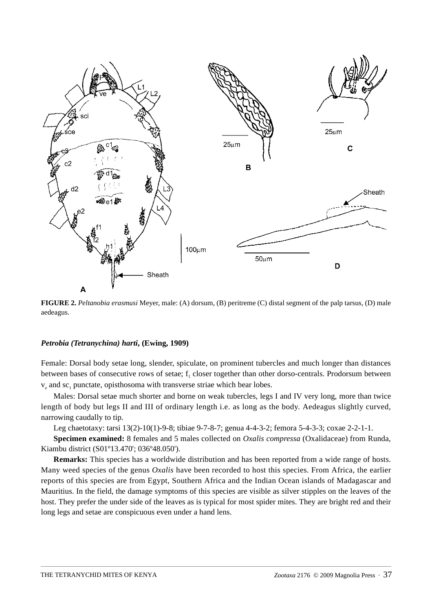

**FIGURE 2.** *Peltanobia erasmusi* Meyer, male: (A) dorsum, (B) peritreme (C) distal segment of the palp tarsus, (D) male aedeagus.

#### *Petrobia (Tetranychina) harti***, (Ewing, 1909)**

Female: Dorsal body setae long, slender, spiculate, on prominent tubercles and much longer than distances between bases of consecutive rows of setae;  $f_1$  closer together than other dorso-centrals. Prodorsum between  $v_{e}$  and sc<sub>1</sub> punctate, opisthosoma with transverse striae which bear lobes.

Males: Dorsal setae much shorter and borne on weak tubercles, legs I and IV very long, more than twice length of body but legs II and III of ordinary length i.e. as long as the body. Aedeagus slightly curved, narrowing caudally to tip.

Leg chaetotaxy: tarsi 13(2)-10(1)-9-8; tibiae 9-7-8-7; genua 4-4-3-2; femora 5-4-3-3; coxae 2-2-1-1.

**Specimen examined:** 8 females and 5 males collected on *Oxalis compressa* (Oxalidaceae) from Runda, Kiambu district (S01º13.470'; 036º48.050').

**Remarks:** This species has a worldwide distribution and has been reported from a wide range of hosts. Many weed species of the genus *Oxalis* have been recorded to host this species. From Africa, the earlier reports of this species are from Egypt, Southern Africa and the Indian Ocean islands of Madagascar and Mauritius. In the field, the damage symptoms of this species are visible as silver stipples on the leaves of the host. They prefer the under side of the leaves as is typical for most spider mites. They are bright red and their long legs and setae are conspicuous even under a hand lens.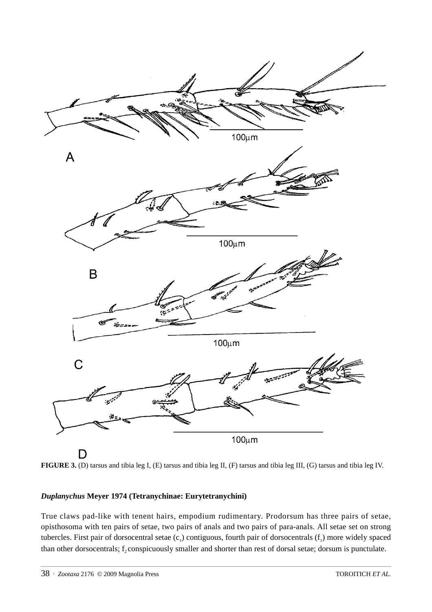

**FIGURE 3.** (D) tarsus and tibia leg I, (E) tarsus and tibia leg II, (F) tarsus and tibia leg III, (G) tarsus and tibia leg IV.

# *Duplanychus* **Meyer 1974 (Tetranychinae: Eurytetranychini)**

True claws pad-like with tenent hairs, empodium rudimentary. Prodorsum has three pairs of setae, opisthosoma with ten pairs of setae, two pairs of anals and two pairs of para-anals. All setae set on strong tubercles. First pair of dorsocentral setae  $(c_1)$  contiguous, fourth pair of dorsocentrals  $(f_1)$  more widely spaced than other dorsocentrals; f<sub>2</sub> conspicuously smaller and shorter than rest of dorsal setae; dorsum is punctulate.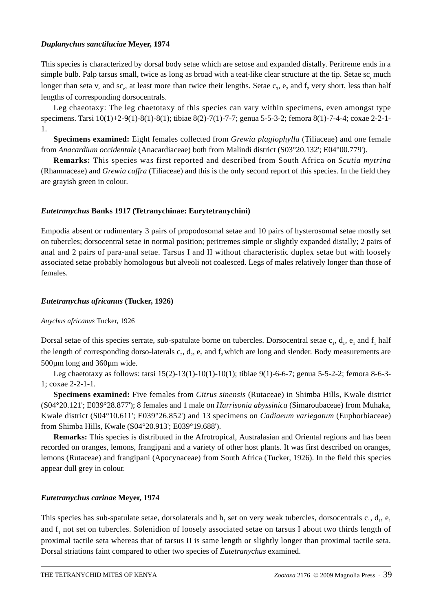## *Duplanychus sanctiluciae* **Meyer, 1974**

This species is characterized by dorsal body setae which are setose and expanded distally. Peritreme ends in a simple bulb. Palp tarsus small, twice as long as broad with a teat-like clear structure at the tip. Setae  $sc_i$  much longer than seta  $v_e$  and sc<sub>e</sub>, at least more than twice their lengths. Setae  $c_3$ ,  $e_2$  and  $f_2$  very short, less than half lengths of corresponding dorsocentrals.

Leg chaeotaxy: The leg chaetotaxy of this species can vary within specimens, even amongst type specimens. Tarsi 10(1)+2-9(1)-8(1)-8(1); tibiae 8(2)-7(1)-7-7; genua 5-5-3-2; femora 8(1)-7-4-4; coxae 2-2-1- 1.

**Specimens examined:** Eight females collected from *Grewia plagiophylla* (Tiliaceae) and one female from *Anacardium occidentale* (Anacardiaceae) both from Malindi district (S03°20.132'; E04°00.779').

**Remarks:** This species was first reported and described from South Africa on *Scutia mytrina* (Rhamnaceae) and *Grewia caffra* (Tiliaceae) and this is the only second report of this species. In the field they are grayish green in colour.

# *Eutetranychus* **Banks 1917 (Tetranychinae: Eurytetranychini)**

Empodia absent or rudimentary 3 pairs of propodosomal setae and 10 pairs of hysterosomal setae mostly set on tubercles; dorsocentral setae in normal position; peritremes simple or slightly expanded distally; 2 pairs of anal and 2 pairs of para-anal setae. Tarsus I and II without characteristic duplex setae but with loosely associated setae probably homologous but alveoli not coalesced. Legs of males relatively longer than those of females.

# *Eutetranychus africanus* **(Tucker, 1926)**

# *Anychus africanus* Tucker, 1926

Dorsal setae of this species serrate, sub-spatulate borne on tubercles. Dorsocentral setae  $c_1$ ,  $d_1$ ,  $e_1$  and  $f_1$  half the length of corresponding dorso-laterals  $c_2$ ,  $d_2$ ,  $e_2$ , and  $f_2$  which are long and slender. Body measurements are 500µm long and 360µm wide.

Leg chaetotaxy as follows: tarsi 15(2)-13(1)-10(1)-10(1); tibiae 9(1)-6-6-7; genua 5-5-2-2; femora 8-6-3- 1; coxae 2-2-1-1.

**Specimens examined:** Five females from *Citrus sinensis* (Rutaceae) in Shimba Hills, Kwale district (S04°20.121'; E039°28.877'); 8 females and 1 male on *Harrisonia abyssinica* (Simaroubaceae) from Muhaka, Kwale district (S04°10.611'; E039°26.852') and 13 specimens on *Cadiaeum variegatum* (Euphorbiaceae) from Shimba Hills, Kwale (S04°20.913'; E039°19.688').

**Remarks:** This species is distributed in the Afrotropical, Australasian and Oriental regions and has been recorded on oranges, lemons, frangipani and a variety of other host plants. It was first described on oranges, lemons (Rutaceae) and frangipani (Apocynaceae) from South Africa (Tucker, 1926). In the field this species appear dull grey in colour.

# *Eutetranychus carinae* **Meyer, 1974**

This species has sub-spatulate setae, dorsolaterals and  $h_1$  set on very weak tubercles, dorsocentrals  $c_1$ ,  $d_1$ ,  $e_1$ and f<sub>1</sub> not set on tubercles. Solenidion of loosely associated setae on tarsus I about two thirds length of proximal tactile seta whereas that of tarsus II is same length or slightly longer than proximal tactile seta. Dorsal striations faint compared to other two species of *Eutetranychus* examined.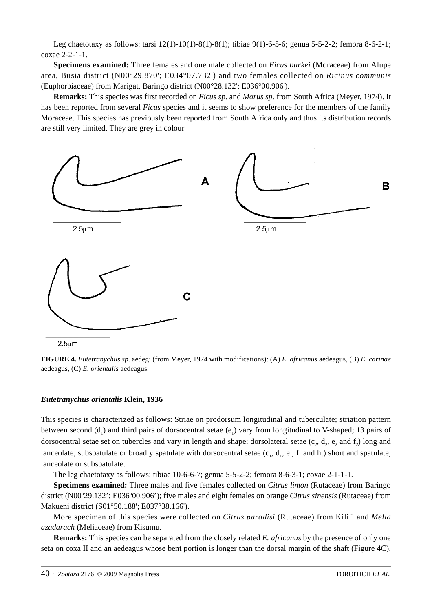Leg chaetotaxy as follows: tarsi 12(1)-10(1)-8(1)-8(1); tibiae 9(1)-6-5-6; genua 5-5-2-2; femora 8-6-2-1; coxae 2-2-1-1.

**Specimens examined:** Three females and one male collected on *Ficus burkei* (Moraceae) from Alupe area, Busia district (N00°29.870'; E034°07.732') and two females collected on *Ricinus communis* (Euphorbiaceae) from Marigat, Baringo district (N00°28.132'; E036°00.906').

**Remarks:** This species was first recorded on *Ficus sp.* and *Morus sp*. from South Africa (Meyer, 1974). It has been reported from several *Ficus* species and it seems to show preference for the members of the family Moraceae. This species has previously been reported from South Africa only and thus its distribution records are still very limited. They are grey in colour



**FIGURE 4.** *Eutetranychus sp*. aedegi (from Meyer, 1974 with modifications): (A) *E. africanus* aedeagus, (B) *E. carinae* aedeagus, (C) *E. orientalis* aedeagus.

## *Eutetranychus orientalis* **Klein, 1936**

This species is characterized as follows: Striae on prodorsum longitudinal and tuberculate; striation pattern between second  $(d_1)$  and third pairs of dorsocentral setae  $(e_1)$  vary from longitudinal to V-shaped; 13 pairs of dorsocentral setae set on tubercles and vary in length and shape; dorsolateral setae  $(c_2, d_2, e_2, d_1)$  long and lanceolate, subspatulate or broadly spatulate with dorsocentral setae  $(c_1, d_1, e_1, f_1$  and  $h_1$ ) short and spatulate, lanceolate or subspatulate.

The leg chaetotaxy as follows: tibiae  $10-6-6-7$ ; genua  $5-5-2-2$ ; femora  $8-6-3-1$ ; coxae  $2-1-1-1$ .

**Specimens examined:** Three males and five females collected on *Citrus limon* (Rutaceae) from Baringo district (N00º29.132'; E036º00.906'); five males and eight females on orange *Citrus sinensis* (Rutaceae) from Makueni district (S01°50.188'; E037°38.166').

More specimen of this species were collected on *Citrus paradisi* (Rutaceae) from Kilifi and *Melia azadarach* (Meliaceae) from Kisumu.

**Remarks:** This species can be separated from the closely related *E. africanus* by the presence of only one seta on coxa II and an aedeagus whose bent portion is longer than the dorsal margin of the shaft (Figure 4C).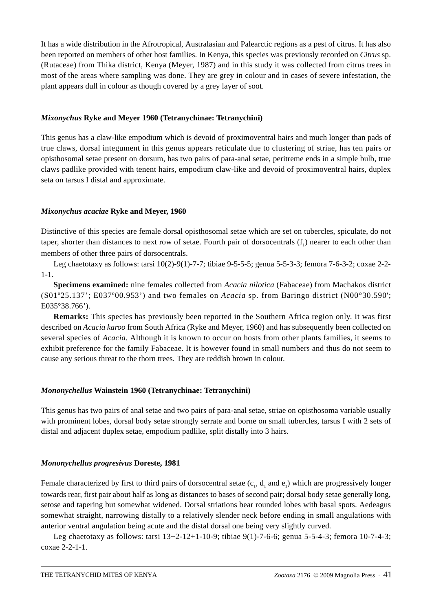It has a wide distribution in the Afrotropical, Australasian and Palearctic regions as a pest of citrus. It has also been reported on members of other host families. In Kenya, this species was previously recorded on *Citrus* sp. (Rutaceae) from Thika district, Kenya (Meyer, 1987) and in this study it was collected from citrus trees in most of the areas where sampling was done. They are grey in colour and in cases of severe infestation, the plant appears dull in colour as though covered by a grey layer of soot.

# *Mixonychus* **Ryke and Meyer 1960 (Tetranychinae: Tetranychini)**

This genus has a claw-like empodium which is devoid of proximoventral hairs and much longer than pads of true claws, dorsal integument in this genus appears reticulate due to clustering of striae, has ten pairs or opisthosomal setae present on dorsum, has two pairs of para-anal setae, peritreme ends in a simple bulb, true claws padlike provided with tenent hairs, empodium claw-like and devoid of proximoventral hairs, duplex seta on tarsus I distal and approximate.

# *Mixonychus acaciae* **Ryke and Meyer, 1960**

Distinctive of this species are female dorsal opisthosomal setae which are set on tubercles, spiculate, do not taper, shorter than distances to next row of setae. Fourth pair of dorsocentrals  $(f_1)$  nearer to each other than members of other three pairs of dorsocentrals.

Leg chaetotaxy as follows: tarsi 10(2)-9(1)-7-7; tibiae 9-5-5-5; genua 5-5-3-3; femora 7-6-3-2; coxae 2-2- 1-1.

**Specimens examined:** nine females collected from *Acacia nilotica* (Fabaceae) from Machakos district (S01º25.137'; E037º00.953') and two females on *Acacia* sp. from Baringo district (N00°30.590'; E035°38.766').

**Remarks:** This species has previously been reported in the Southern Africa region only. It was first described on *Acacia karoo* from South Africa (Ryke and Meyer, 1960) and has subsequently been collected on several species of *Acacia.* Although it is known to occur on hosts from other plants families, it seems to exhibit preference for the family Fabaceae. It is however found in small numbers and thus do not seem to cause any serious threat to the thorn trees. They are reddish brown in colour.

# *Mononychellus* **Wainstein 1960 (Tetranychinae: Tetranychini)**

This genus has two pairs of anal setae and two pairs of para-anal setae, striae on opisthosoma variable usually with prominent lobes, dorsal body setae strongly serrate and borne on small tubercles, tarsus I with 2 sets of distal and adjacent duplex setae, empodium padlike, split distally into 3 hairs.

## *Mononychellus progresivus* **Doreste, 1981**

Female characterized by first to third pairs of dorsocentral setae  $(c_1, d_1)$  and  $e_1$ ) which are progressively longer towards rear, first pair about half as long as distances to bases of second pair; dorsal body setae generally long, setose and tapering but somewhat widened. Dorsal striations bear rounded lobes with basal spots. Aedeagus somewhat straight, narrowing distally to a relatively slender neck before ending in small angulations with anterior ventral angulation being acute and the distal dorsal one being very slightly curved.

Leg chaetotaxy as follows: tarsi  $13+2-12+1-10-9$ ; tibiae 9(1)-7-6-6; genua 5-5-4-3; femora 10-7-4-3; coxae 2-2-1-1.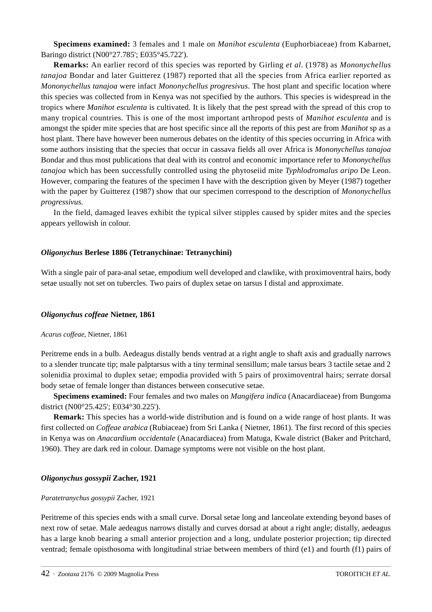**Specimens examined:** 3 females and 1 male on *Manihot esculenta* (Euphorbiaceae) from Kabarnet, Baringo district (N00°27.785'; E035°45.722').

**Remarks:** An earlier record of this species was reported by Girling *et al*. (1978) as *Mononychellus tanajoa* Bondar and later Guitterez (1987) reported that all the species from Africa earlier reported as *Mononychellus tanajoa* were infact *Mononychellus progresivus*. The host plant and specific location where this species was collected from in Kenya was not specified by the authors. This species is widespread in the tropics where *Manihot esculenta* is cultivated. It is likely that the pest spread with the spread of this crop to many tropical countries. This is one of the most important arthropod pests of *Manihot esculenta* and is amongst the spider mite species that are host specific since all the reports of this pest are from *Manihot* sp as a host plant. There have however been numerous debates on the identity of this species occurring in Africa with some authors insisting that the species that occur in cassava fields all over Africa is *Mononychellus tanajoa* Bondar and thus most publications that deal with its control and economic importance refer to *Mononychellus tanajoa* which has been successfully controlled using the phytoseiid mite *Typhlodromalus aripo* De Leon. However, comparing the features of the specimen I have with the description given by Meyer (1987) together with the paper by Guitterez (1987) show that our specimen correspond to the description of *Mononychellus progressivus*.

In the field, damaged leaves exhibit the typical silver stipples caused by spider mites and the species appears yellowish in colour.

## *Oligonychus* **Berlese 1886 (Tetranychinae: Tetranychini)**

With a single pair of para-anal setae, empodium well developed and clawlike, with proximoventral hairs, body setae usually not set on tubercles. Two pairs of duplex setae on tarsus I distal and approximate.

#### *Oligonychus coffeae* **Nietner, 1861**

#### *Acarus coffeae*, Nietner, 1861

Peritreme ends in a bulb. Aedeagus distally bends ventrad at a right angle to shaft axis and gradually narrows to a slender truncate tip; male palptarsus with a tiny terminal sensillum; male tarsus bears 3 tactile setae and 2 solenidia proximal to duplex setae; empodia provided with 5 pairs of proximoventral hairs; serrate dorsal body setae of female longer than distances between consecutive setae.

**Specimens examined:** Four females and two males on *Mangifera indica* (Anacardiaceae) from Bungoma district (N00°25.425'; E034°30.225').

**Remark:** This species has a world-wide distribution and is found on a wide range of host plants. It was first collected on *Coffeae arabica* (Rubiaceae) from Sri Lanka ( Nietner, 1861). The first record of this species in Kenya was on *Anacardium occidentale* (Anacardiacea) from Matuga, Kwale district (Baker and Pritchard, 1960). They are dark red in colour. Damage symptoms were not visible on the host plant.

#### *Oligonychus gossypii* **Zacher, 1921**

#### *Paratetranychus gossypii* Zacher, 1921

Peritreme of this species ends with a small curve. Dorsal setae long and lanceolate extending beyond bases of next row of setae. Male aedeagus narrows distally and curves dorsad at about a right angle; distally, aedeagus has a large knob bearing a small anterior projection and a long, undulate posterior projection; tip directed ventrad; female opisthosoma with longitudinal striae between members of third (e1) and fourth (f1) pairs of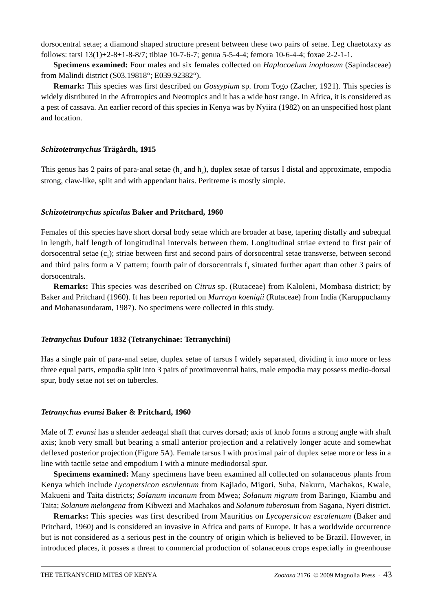dorsocentral setae; a diamond shaped structure present between these two pairs of setae. Leg chaetotaxy as follows: tarsi 13(1)+2-8+1-8-8/7; tibiae 10-7-6-7; genua 5-5-4-4; femora 10-6-4-4; foxae 2-2-1-1.

**Specimens examined:** Four males and six females collected on *Haplocoelum inoploeum* (Sapindaceae) from Malindi district (S03.19818°; E039.92382°).

**Remark:** This species was first described on *Gossypium* sp. from Togo (Zacher, 1921). This species is widely distributed in the Afrotropics and Neotropics and it has a wide host range. In Africa, it is considered as a pest of cassava. An earlier record of this species in Kenya was by Nyiira (1982) on an unspecified host plant and location.

## *Schizotetranychus* **Trägårdh, 1915**

This genus has 2 pairs of para-anal setae  $(h, and h_3)$ , duplex setae of tarsus I distal and approximate, empodia strong, claw-like, split and with appendant hairs. Peritreme is mostly simple.

# *Schizotetranychus spiculus* **Baker and Pritchard, 1960**

Females of this species have short dorsal body setae which are broader at base, tapering distally and subequal in length, half length of longitudinal intervals between them. Longitudinal striae extend to first pair of dorsocentral setae  $(c_1)$ ; striae between first and second pairs of dorsocentral setae transverse, between second and third pairs form a V pattern; fourth pair of dorsocentrals  $f_1$  situated further apart than other 3 pairs of dorsocentrals.

**Remarks:** This species was described on *Citrus* sp. (Rutaceae) from Kaloleni, Mombasa district; by Baker and Pritchard (1960). It has been reported on *Murraya koenigii* (Rutaceae) from India (Karuppuchamy and Mohanasundaram, 1987). No specimens were collected in this study.

# *Tetranychus* **Dufour 1832 (Tetranychinae: Tetranychini)**

Has a single pair of para-anal setae, duplex setae of tarsus I widely separated, dividing it into more or less three equal parts, empodia split into 3 pairs of proximoventral hairs, male empodia may possess medio-dorsal spur, body setae not set on tubercles.

## *Tetranychus evansi* **Baker & Pritchard, 1960**

Male of *T. evansi* has a slender aedeagal shaft that curves dorsad; axis of knob forms a strong angle with shaft axis; knob very small but bearing a small anterior projection and a relatively longer acute and somewhat deflexed posterior projection (Figure 5A). Female tarsus I with proximal pair of duplex setae more or less in a line with tactile setae and empodium I with a minute mediodorsal spur.

**Specimens examined:** Many specimens have been examined all collected on solanaceous plants from Kenya which include *Lycopersicon esculentum* from Kajiado, Migori, Suba, Nakuru, Machakos, Kwale, Makueni and Taita districts; *Solanum incanum* from Mwea; *Solanum nigrum* from Baringo, Kiambu and Taita; *Solanum melongena* from Kibwezi and Machakos and *Solanum tuberosum* from Sagana, Nyeri district.

**Remarks:** This species was first described from Mauritius on *Lycopersicon esculentum* (Baker and Pritchard, 1960) and is considered an invasive in Africa and parts of Europe. It has a worldwide occurrence but is not considered as a serious pest in the country of origin which is believed to be Brazil. However, in introduced places, it posses a threat to commercial production of solanaceous crops especially in greenhouse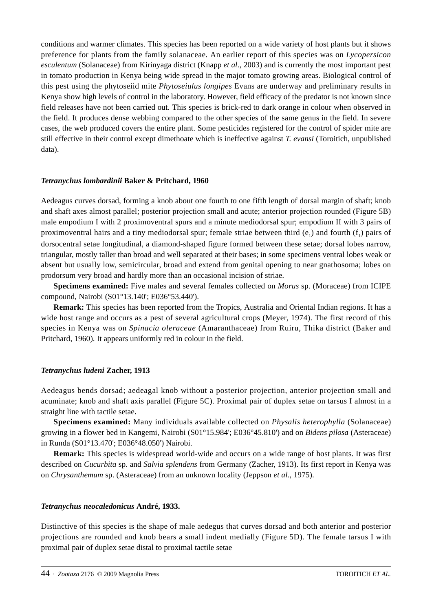conditions and warmer climates. This species has been reported on a wide variety of host plants but it shows preference for plants from the family solanaceae. An earlier report of this species was on *Lycopersicon esculentum* (Solanaceae) from Kirinyaga district (Knapp *et al*., 2003) and is currently the most important pest in tomato production in Kenya being wide spread in the major tomato growing areas. Biological control of this pest using the phytoseiid mite *Phytoseiulus longipes* Evans are underway and preliminary results in Kenya show high levels of control in the laboratory. However, field efficacy of the predator is not known since field releases have not been carried out. This species is brick-red to dark orange in colour when observed in the field. It produces dense webbing compared to the other species of the same genus in the field. In severe cases, the web produced covers the entire plant. Some pesticides registered for the control of spider mite are still effective in their control except dimethoate which is ineffective against *T. evansi* (Toroitich, unpublished data).

# *Tetranychus lombardinii* **Baker & Pritchard, 1960**

Aedeagus curves dorsad, forming a knob about one fourth to one fifth length of dorsal margin of shaft; knob and shaft axes almost parallel; posterior projection small and acute; anterior projection rounded (Figure 5B) male empodium I with 2 proximoventral spurs and a minute mediodorsal spur; empodium II with 3 pairs of proximoventral hairs and a tiny mediodorsal spur; female striae between third  $(e_1)$  and fourth  $(f_1)$  pairs of dorsocentral setae longitudinal, a diamond-shaped figure formed between these setae; dorsal lobes narrow, triangular, mostly taller than broad and well separated at their bases; in some specimens ventral lobes weak or absent but usually low, semicircular, broad and extend from genital opening to near gnathosoma; lobes on prodorsum very broad and hardly more than an occasional incision of striae.

**Specimens examined:** Five males and several females collected on *Morus* sp. (Moraceae) from ICIPE compound, Nairobi (S01°13.140'; E036°53.440').

**Remark:** This species has been reported from the Tropics, Australia and Oriental Indian regions. It has a wide host range and occurs as a pest of several agricultural crops (Meyer, 1974). The first record of this species in Kenya was on *Spinacia oleraceae* (Amaranthaceae) from Ruiru, Thika district (Baker and Pritchard, 1960). It appears uniformly red in colour in the field.

## *Tetranychus ludeni* **Zacher, 1913**

Aedeagus bends dorsad; aedeagal knob without a posterior projection, anterior projection small and acuminate; knob and shaft axis parallel (Figure 5C). Proximal pair of duplex setae on tarsus I almost in a straight line with tactile setae.

**Specimens examined:** Many individuals available collected on *Physalis heterophylla* (Solanaceae) growing in a flower bed in Kangemi, Nairobi (S01°15.984'; E036°45.810') and on *Bidens pilosa* (Asteraceae) in Runda (S01°13.470'; E036°48.050') Nairobi.

**Remark:** This species is widespread world-wide and occurs on a wide range of host plants. It was first described on *Cucurbita* sp. and *Salvia splendens* from Germany (Zacher, 1913). Its first report in Kenya was on *Chrysanthemum* sp. (Asteraceae) from an unknown locality (Jeppson *et al*., 1975).

## *Tetranychus neocaledonicus* **André, 1933.**

Distinctive of this species is the shape of male aedegus that curves dorsad and both anterior and posterior projections are rounded and knob bears a small indent medially (Figure 5D). The female tarsus I with proximal pair of duplex setae distal to proximal tactile setae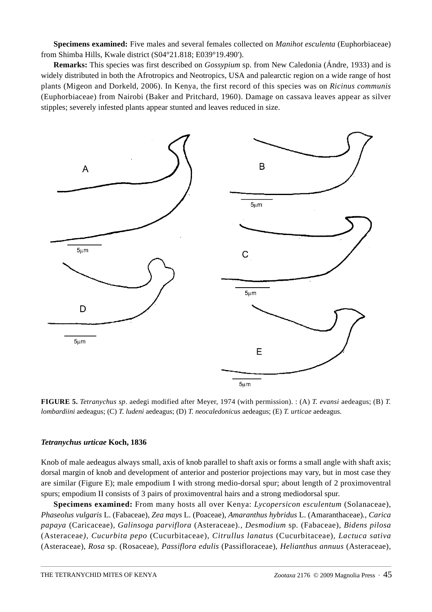**Specimens examined:** Five males and several females collected on *Manihot esculenta* (Euphorbiaceae) from Shimba Hills, Kwale district (S04°21.818; E039°19.490').

**Remarks:** This species was first described on *Gossypium* sp. from New Caledonia (Ándre, 1933) and is widely distributed in both the Afrotropics and Neotropics, USA and palearctic region on a wide range of host plants (Migeon and Dorkeld, 2006). In Kenya, the first record of this species was on *Ricinus communis* (Euphorbiaceae) from Nairobi (Baker and Pritchard, 1960). Damage on cassava leaves appear as silver stipples; severely infested plants appear stunted and leaves reduced in size.



**FIGURE 5.** *Tetranychus sp*. aedegi modified after Meyer, 1974 (with permission). : (A) *T. evansi* aedeagus; (B) *T. lombardiini* aedeagus; (C) *T. ludeni* aedeagus; (D) *T. neocaledonicus* aedeagus; (E) *T. urticae* aedeagus.

#### *Tetranychus urticae* **Koch, 1836**

Knob of male aedeagus always small, axis of knob parallel to shaft axis or forms a small angle with shaft axis; dorsal margin of knob and development of anterior and posterior projections may vary, but in most case they are similar (Figure E); male empodium I with strong medio-dorsal spur; about length of 2 proximoventral spurs; empodium II consists of 3 pairs of proximoventral hairs and a strong mediodorsal spur.

**Specimens examined:** From many hosts all over Kenya: *Lycopersicon esculentum* (Solanaceae), *Phaseolus vulgaris* L. (Fabaceae)*, Zea mays* L. (Poaceae)*, Amaranthus hybridus* L. (Amaranthaceae)*., Carica papaya* (Caricaceae)*, Galinsoga parviflora* (Asteraceae)*., Desmodium* sp*.* (Fabaceae), *Bidens pilosa*  (Asteraceae*), Cucurbita pepo* (Cucurbitaceae), *Citrullus lanatus* (Cucurbitaceae)*, Lactuca sativa*  (Asteraceae), *Rosa* sp. (Rosaceae)*, Passiflora edulis* (Passifloraceae), *Helianthus annuus* (Asteraceae)*,*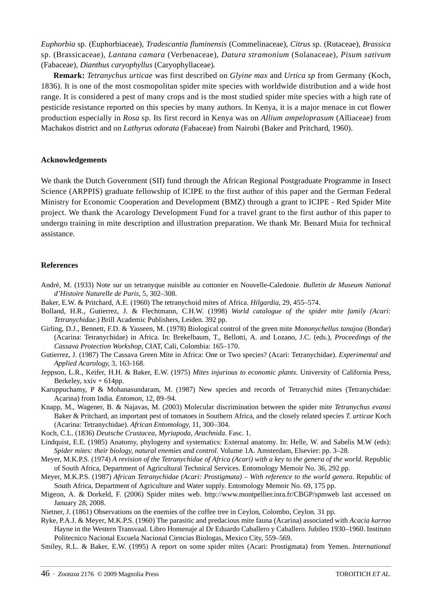*Euphorbia* sp. (Euphorbiaceae)*, Tradescantia fluminensis* (Commelinaceae), *Citrus* sp. (Rutaceae)*, Brassica*  sp. (Brassicaceae)*, Lantana camara* (Verbenaceae), *Datura stramonium* (Solanaceae), *Pisum sativum*  (Fabaceae)*, Dianthus caryophyllus* (Caryophyllaceae)*.* 

**Remark:** *Tetranychus urticae* was first described on *Glyine max* and *Urtica sp* from Germany (Koch, 1836). It is one of the most cosmopolitan spider mite species with worldwide distribution and a wide host range. It is considered a pest of many crops and is the most studied spider mite species with a high rate of pesticide resistance reported on this species by many authors. In Kenya, it is a major menace in cut flower production especially in *Rosa* sp. Its first record in Kenya was on *Allium ampeloprasum* (Alliaceae) from Machakos district and on *Lathyrus odorata* (Fabaceae) from Nairobi (Baker and Pritchard, 1960).

#### **Acknowledgements**

We thank the Dutch Government (SII) fund through the African Regional Postgraduate Programme in Insect Science (ARPPIS) graduate fellowship of ICIPE to the first author of this paper and the German Federal Ministry for Economic Cooperation and Development (BMZ) through a grant to ICIPE - Red Spider Mite project. We thank the Acarology Development Fund for a travel grant to the first author of this paper to undergo training in mite description and illustration preparation. We thank Mr. Benard Muia for technical assistance.

#### **References**

- André, M. (1933) Note sur un tetranyque nuisible au cottonier en Nouvelle-Caledonie. *Bulletin de Museum National d'Histoire Naturelle de Paris*, 5, 302–308.
- Baker, E.W. & Pritchard, A.E. (1960) The tetranychoid mites of Africa. *Hilgardia*, 29, 455–574.
- Bolland, H.R., Gutierrez, J. & Flechtmann, C.H.W. (1998) *World catalogue of the spider mite family (Acari: Tetranychidae.*) Brill Academic Publishers, Leiden. 392 pp.
- Girling, D.J., Bennett, F.D. & Yasseen, M. (1978) Biological control of the green mite *Mononychellus tanajoa* (Bondar) (Acarina: Tetranychidae) in Africa. In: Brekelbaum, T., Bellotti, A. and Lozano, J.C. (eds.), *Proceedings of the Cassava Protection Workshop*, CIAT, Cali, Colombia: 165–170.
- Gutierrez, J. (1987) The Cassava Green Mite in Africa: One or Two species? (Acari: Tetranychidae). *Experimental and Applied Acarology*, 3, 163-168.
- [Jeppson, L.R., Keifer, H.H. & Baker, E.W. \(1975\)](http://www.montpellier.inra.fr/CBGP/spmweb/notebibliography.php?id=2325) *Mites injurious to economic plants.* University of California Press, Berkeley,  $xxiv + 614$ pp.
- Karuppuchamy, P & Mohanasundaram, M. (1987) New species and records of Tetranychid mites (Tetranychidae: Acarina) from India. *Entomon*, 12, 89–94.
- Knapp, M., Wagener, B. & Najavas, M. (2003) Molecular discrimination between the spider mite *Tetranychus evansi* Baker & Pritchard, an important pest of tomatoes in Southern Africa, and the closely related species *T. urticae* Koch (Acarina: Tetranychidae). *African Entomology*, 11, 300–304.
- [Koch, C.L. \(1836\)](http://www1.montpellier.inra.fr/CBGP/spmweb/notebibliography.) *Deutsche Crustacea, Myriapoda, Arachnida*. Fasc. 1.
- Lindquist, E.E. (1985) Anatomy, phylogeny and systematics: External anatomy. In: Helle, W. and Sabelis M.W (eds): *Spider mites: their biology, natural enemies and control*. Volume 1A. Amsterdam, Elsevier: pp. 3–28.
- Meyer, M.K.P.S. (1974) *A revision of the Tetranychidae of Africa (Acari) with a key to the genera of the world*. Republic of South Africa, Department of Agricultural Technical Services. Entomology Memoir No. 36, 292 pp.
- Meyer, M.K.P.S. (1987) *African Tetranychidae (Acari: Prostigmata) With reference to the world genera*. Republic of South Africa, Department of Agriculture and Water supply. Entomology Memoir No. 69, 175 pp.
- Migeon, A. & Dorkeld, F. (2006) Spider mites web. http://www.montpellier.inra.fr/CBGP/spmweb last accessed on January 28, 2008.
- Nietner, J. (1861) Observations on the enemies of the coffee tree in Ceylon, Colombo, Ceylon. 31 pp.
- Ryke, P.A.J. & Meyer, M.K.P.S. (1960) The parasitic and predacious mite fauna (Acarina) associated with *Acacia karroo* Hayne in the Western Transvaal. Libro Homenaje al Dr Eduardo Caballero y Caballero. Jubileo 1930–1960. Instituto Politecnico Nacional Escuela Nacional Ciencias Biologas, Mexico City, 559–569.
- Smiley, R.L. & Baker, E.W. (1995) A report on some spider mites (Acari: Prostigmata) from Yemen. *International*